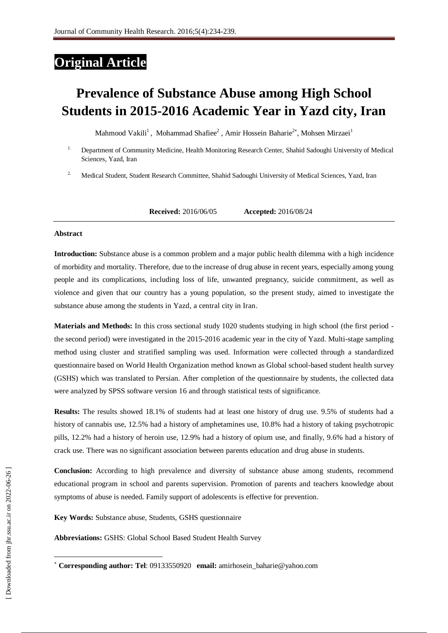## **Original Article**

# **Prevalence of Substance Abuse among High School Students in 2015-2016 Academic Year in Yazd city, Iran**

Mahmood Vakili<sup>1</sup>, Mohammad Shafiee<sup>2</sup>, Amir Hossein Baharie<sup>2\*</sup>, Mohsen Mirzaei<sup>1</sup>

- <sup>1.</sup> Department of Community Medicine, Health Monitoring Research Center, Shahid Sadoughi University of Medical Sciences, Yazd, Iran
- <sup>2.</sup> Medical Student, Student Research Committee, Shahid Sadoughi University of Medical Sciences, Yazd, Iran

**1. Received:** 2016/06/05 **Accepted:** 2016/08/24

#### **Abstract**

**Introduction:** Substance abuse is a common problem and a major public health dilemma with a high incidence of morbidity and mortality. Therefore, due to the increase of drug abuse in recent years, especially among young people and its complications, including loss of life, unwanted pregnancy, suicide commitment, as well as violence and given that our country has a young population, so the present study, aimed to investigate the substance abuse among the students in Yazd, a central city in Iran.

**Materials and Methods:** In this cross sectional study 1020 students studying in high school (the first period the second period) were investigated in the 2015-2016 academic year in the city of Yazd. Multi-stage sampling method using cluster and stratified sampling was used. Information were collected through a standardized questionnaire based on World Health Organization method known as Global school-based student health survey (GSHS) which was translated to Persian. After completion of the questionnaire by students, the collected data were analyzed by SPSS software version 16 and through statistical tests of significance.

**Results:** The results showed 18.1% of students had at least one history of drug use. 9.5% of students had a history of cannabis use, 12.5% had a history of amphetamines use, 10.8% had a history of taking psychotropic pills, 12.2% had a history of heroin use, 12.9% had a history of opium use, and finally, 9.6% had a history of crack use. There was no significant association between parents education and drug abuse in students.

**Conclusion:** According to high prevalence and diversity of substance abuse among students, recommend educational program in school and parents supervision. Promotion of parents and teachers knowledge about symptoms of abuse is needed. Family support of adolescents is effective for prevention.

**Key Words:** Substance abuse, Students, GSHS questionnaire

**Abbreviations:** GSHS: Global School Based Student Health Survey

-

**Corresponding author: Tel**: 09133550920 **email:** amirhosein\_baharie@yahoo.com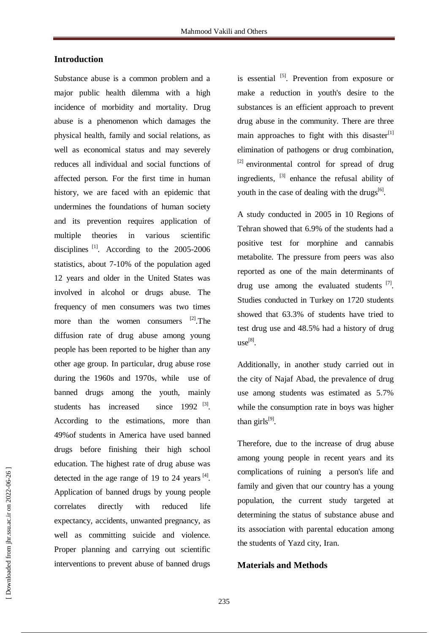## **Introduction**

Substance abuse is a common problem and a major public health dilemma with a high incidence of morbidity and mortality. Drug abuse is a phenomenon which damages the physical health, family and social relations, as well as economical status and may severely reduces all individual and social functions of affected person. For the first time in human history, we are faced with an epidemic that undermines the foundations of human society and its prevention requires application of multiple theories in various scientific disciplines<sup>[1]</sup>. According to the 2005-2006 statistics, about 7-10% of the population aged 12 years and older in the United States was involved in alcohol or drugs abuse. The frequency of men consumers was two times more than the women consumers <sup>[2]</sup>. The diffusion rate of drug abuse among young people has been reported to be higher than any other age group. In particular, drug abuse rose during the 1960s and 1970s, while use of banned drugs among the youth, mainly students has increased since  $1992$  <sup>[3]</sup>. According to the estimations, more than 49%of students in America have used banned drugs before finishing their high school education. The highest rate of drug abuse was detected in the age range of 19 to 24 years  $^{[4]}$ . Application of banned drugs by young people correlates directly with reduced life expectancy, accidents, unwanted pregnancy, as well as committing suicide and violence. Proper planning and carrying out scientific interventions to prevent abuse of banned drugs

is essential <sup>[5]</sup>. Prevention from exposure or make a reduction in youth's desire to the substances is an efficient approach to prevent drug abuse in the community. There are three main approaches to fight with this disaster $[1]$ elimination of pathogens or drug combination,  $^{[2]}$  environmental control for spread of drug ingredients, <sup>[3]</sup> enhance the refusal ability of youth in the case of dealing with the drugs<sup>[6]</sup>.

A study conducted in 2005 in 10 Regions of Tehran showed that 6.9% of the students had a positive test for morphine and cannabis metabolite. The pressure from peers was also reported as one of the main determinants of drug use among the evaluated students [7]. Studies conducted in Turkey on 1720 students showed that 63.3% of students have tried to test drug use and 48.5% had a history of drug use[8] .

Additionally, in another study carried out in the city of Najaf Abad, the prevalence of drug use among students was estimated as 5.7% while the consumption rate in boys was higher than girls $^{[9]}$ .

Therefore, due to the increase of drug abuse among young people in recent years and its complications of ruining a person's life and family and given that our country has a young population, the current study targeted at determining the status of substance abuse and its association with parental education among the students of Yazd city, Iran.

## **Materials and Methods**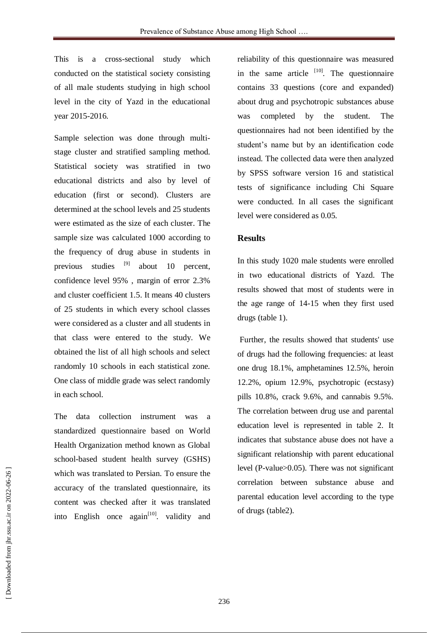This is a cross-sectional study which conducted on the statistical society consisting of all male students studying in high school level in the city of Yazd in the educational year 2015-2016.

Sample selection was done through multistage cluster and stratified sampling method. Statistical society was stratified in two educational districts and also by level of education (first or second). Clusters are determined at the school levels and 25 students were estimated as the size of each cluster. The sample size was calculated 1000 according to the frequency of drug abuse in students in previous studies <sup>[9]</sup> about 10 percent, confidence level 95% , margin of error 2.3% and cluster coefficient 1.5. It means 40 clusters of 25 students in which every school classes were considered as a cluster and all students in that class were entered to the study. We obtained the list of all high schools and select randomly 10 schools in each statistical zone. One class of middle grade was select randomly in each school.

The data collection instrument was a standardized questionnaire based on World Health Organization method known as Global school-based student health survey (GSHS) which was translated to Persian. To ensure the accuracy of the translated questionnaire, its content was checked after it was translated into English once  $again^{[10]}$  validity and reliability of this questionnaire was measured in the same article  $[10]$ . The questionnaire contains 33 questions (core and expanded) about drug and psychotropic substances abuse was completed by the student. The questionnaires had not been identified by the student's name but by an identification code instead. The collected data were then analyzed by SPSS software version 16 and statistical tests of significance including Chi Square were conducted. In all cases the significant level were considered as 0.05.

### **Results**

In this study 1020 male students were enrolled in two educational districts of Yazd. The results showed that most of students were in the age range of 14-15 when they first used drugs (table 1).

Further, the results showed that students' use of drugs had the following frequencies: at least one drug 18.1%, amphetamines 12.5%, heroin 12.2%, opium 12.9%, psychotropic (ecstasy) pills 10.8%, crack 9.6%, and cannabis 9.5%. The correlation between drug use and parental education level is represented in table 2. It indicates that substance abuse does not have a significant relationship with parent educational level (P-value>0.05). There was not significant correlation between substance abuse and parental education level according to the type of drugs (table2).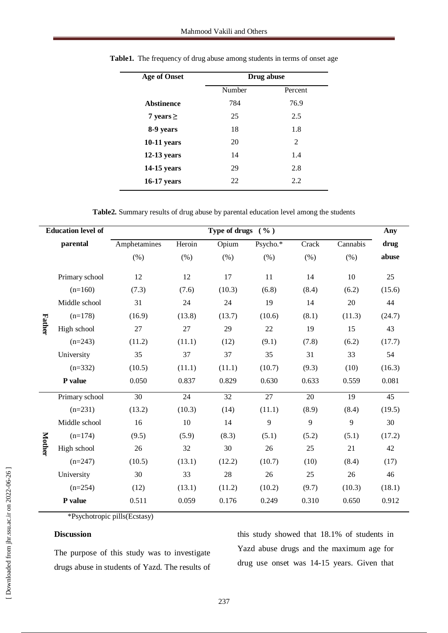| <b>Age of Onset</b> | Drug abuse |                |  |  |  |
|---------------------|------------|----------------|--|--|--|
|                     | Number     | Percent        |  |  |  |
| <b>Abstinence</b>   | 784        | 76.9           |  |  |  |
| 7 years $\ge$       | 25         | 2.5            |  |  |  |
| 8-9 years           | 18         | 1.8            |  |  |  |
| $10-11$ years       | 20         | $\mathfrak{D}$ |  |  |  |
| $12-13$ years       | 14         | 1.4            |  |  |  |
| 14-15 years         | 29         | 2.8            |  |  |  |
| <b>16-17 years</b>  | 22         | 2.2            |  |  |  |

Table1. The frequency of drug abuse among students in terms of onset age

**Table2.** Summary results of drug abuse by parental education level among the students

|               | <b>Education level of</b> | Type of drugs $( %)$ |        |        |          |       |          | Any    |
|---------------|---------------------------|----------------------|--------|--------|----------|-------|----------|--------|
|               | parental                  | Amphetamines         | Heroin | Opium  | Psycho.* | Crack | Cannabis | drug   |
| <b>Father</b> |                           | (% )                 | (% )   | (% )   | (% )     | (% )  | (% )     | abuse  |
|               | Primary school            | 12                   | 12     | 17     | 11       | 14    | 10       | 25     |
|               | $(n=160)$                 | (7.3)                | (7.6)  | (10.3) | (6.8)    | (8.4) | (6.2)    | (15.6) |
|               | Middle school             | 31                   | 24     | 24     | 19       | 14    | 20       | 44     |
|               | $(n=178)$                 | (16.9)               | (13.8) | (13.7) | (10.6)   | (8.1) | (11.3)   | (24.7) |
|               | High school               | 27                   | 27     | 29     | 22       | 19    | 15       | 43     |
|               | $(n=243)$                 | (11.2)               | (11.1) | (12)   | (9.1)    | (7.8) | (6.2)    | (17.7) |
|               | University                | 35                   | 37     | 37     | 35       | 31    | 33       | 54     |
|               | $(n=332)$                 | (10.5)               | (11.1) | (11.1) | (10.7)   | (9.3) | (10)     | (16.3) |
|               | P value                   | 0.050                | 0.837  | 0.829  | 0.630    | 0.633 | 0.559    | 0.081  |
| Mother        | Primary school            | 30                   | 24     | 32     | 27       | 20    | 19       | 45     |
|               | $(n=231)$                 | (13.2)               | (10.3) | (14)   | (11.1)   | (8.9) | (8.4)    | (19.5) |
|               | Middle school             | 16                   | 10     | 14     | 9        | 9     | 9        | 30     |
|               | $(n=174)$                 | (9.5)                | (5.9)  | (8.3)  | (5.1)    | (5.2) | (5.1)    | (17.2) |
|               | High school               | 26                   | 32     | 30     | 26       | 25    | 21       | 42     |
|               | $(n=247)$                 | (10.5)               | (13.1) | (12.2) | (10.7)   | (10)  | (8.4)    | (17)   |
|               | University                | 30                   | 33     | 28     | 26       | 25    | 26       | 46     |
|               | $(n=254)$                 | (12)                 | (13.1) | (11.2) | (10.2)   | (9.7) | (10.3)   | (18.1) |
|               | P value                   | 0.511                | 0.059  | 0.176  | 0.249    | 0.310 | 0.650    | 0.912  |
|               |                           |                      |        |        |          |       |          |        |

\*Psychotropic pills(Ecstasy)

### **Discussion**

The purpose of this study was to investigate drugs abuse in students of Yazd. The results of this study showed that 18.1% of students in Yazd abuse drugs and the maximum age for drug use onset was 14-15 years. Given that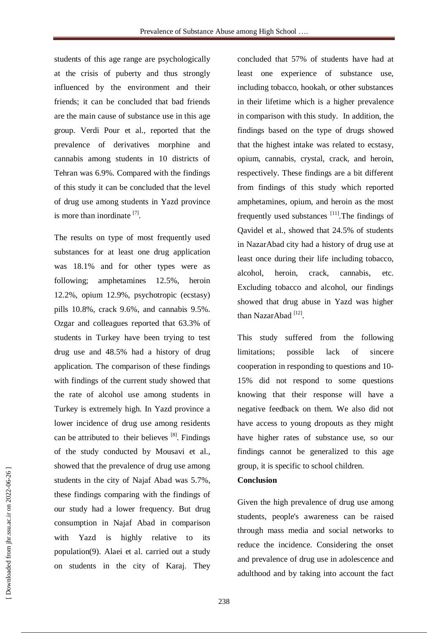students of this age range are psychologically at the crisis of puberty and thus strongly influenced by the environment and their friends; it can be concluded that bad friends are the main cause of substance use in this age group. Verdi Pour et al., reported that the prevalence of derivatives morphine and cannabis among students in 10 districts of Tehran was 6.9%. Compared with the findings of this study it can be concluded that the level of drug use among students in Yazd province is more than inordinate  $^{[7]}$ .

The results on type of most frequently used substances for at least one drug application was 18.1% and for other types were as following; amphetamines 12.5%, heroin 12.2%, opium 12.9%, psychotropic (ecstasy) pills 10.8%, crack 9.6%, and cannabis 9.5%. Ozgar and colleagues reported that 63.3% of students in Turkey have been trying to test drug use and 48.5% had a history of drug application. The comparison of these findings with findings of the current study showed that the rate of alcohol use among students in Turkey is extremely high. In Yazd province a lower incidence of drug use among residents can be attributed to their believes  $[8]$ . Findings of the study conducted by Mousavi et al., showed that the prevalence of drug use among students in the city of Najaf Abad was 5.7%, these findings comparing with the findings of our study had a lower frequency. But drug consumption in Najaf Abad in comparison with Yazd is highly relative to its population(9). Alaei et al. carried out a study on students in the city of Karaj. They

concluded that 57% of students have had at least one experience of substance use, including tobacco, hookah, or other substances in their lifetime which is a higher prevalence in comparison with this study. In addition, the findings based on the type of drugs showed that the highest intake was related to ecstasy, opium, cannabis, crystal, crack, and heroin, respectively. These findings are a bit different from findings of this study which reported amphetamines, opium, and heroin as the most frequently used substances [11]. The findings of Qavidel et al., showed that 24.5% of students in NazarAbad city had a history of drug use at least once during their life including tobacco, alcohol, heroin, crack, cannabis, etc. Excluding tobacco and alcohol, our findings showed that drug abuse in Yazd was higher than NazarAbad<sup>[12]</sup>.

This study suffered from the following limitations; possible lack of sincere cooperation in responding to questions and 10- 15% did not respond to some questions knowing that their response will have a negative feedback on them. We also did not have access to young dropouts as they might have higher rates of substance use, so our findings cannot be generalized to this age group, it is specific to school children.

## **Conclusion**

Given the high prevalence of drug use among students, people's awareness can be raised through mass media and social networks to reduce the incidence. Considering the onset and prevalence of drug use in adolescence and adulthood and by taking into account the fact